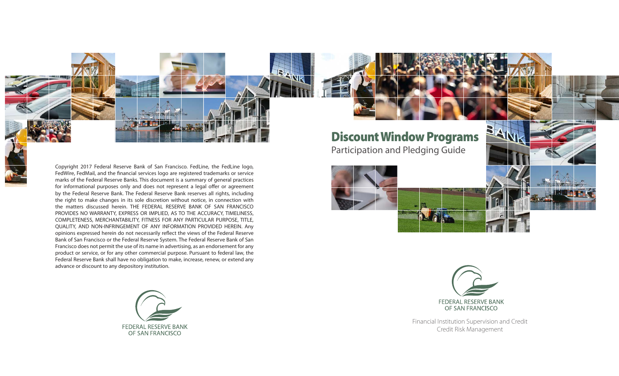

Copyright 2017 Federal Reserve Bank of San Francisco. FedLine, the FedLine logo, FedWire, FedMail, and the financial services logo are registered trademarks or service marks of the Federal Reserve Banks. This document is a summary of general practices for informational purposes only and does not represent a legal offer or agreement by the Federal Reserve Bank. The Federal Reserve Bank reserves all rights, including the right to make changes in its sole discretion without notice, in connection with the matters discussed herein. THE FEDERAL RESERVE BANK OF SAN FRANCISCO PROVIDES NO WARRANTY, EXPRESS OR IMPLIED, AS TO THE ACCURACY, TIMELINESS, COMPLETENESS, MERCHANTABILITY, FITNESS FOR ANY PARTICULAR PURPOSE, TITLE, QUALITY, AND NON-INFRINGEMENT OF ANY INFORMATION PROVIDED HEREIN. Any opinions expressed herein do not necessarily reflect the views of the Federal Reserve Bank of San Francisco or the Federal Reserve System. The Federal Reserve Bank of San Francisco does not permit the use of its name in advertising, as an endorsement for any product or service, or for any other commercial purpose. Pursuant to federal law, the Federal Reserve Bank shall have no obligation to make, increase, renew, or extend any advance or discount to any depository institution.



Discount Window Programs

Participation and Pledging Guide





Financial Institution Supervision and Credit Credit Risk Management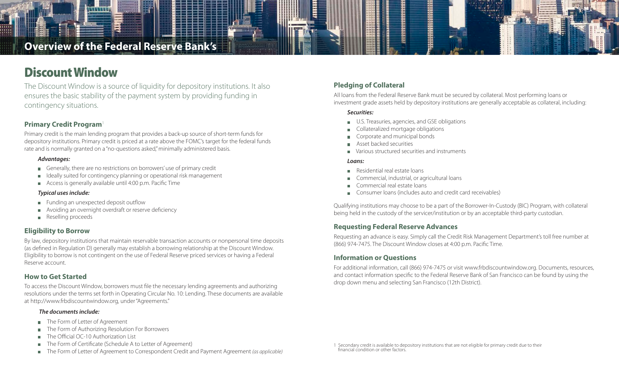## **Overview of the Federal Reserve Bank's**

# Discount Window

The Discount Window is a source of liquidity for depository institutions. It also ensures the basic stability of the payment system by providing funding in contingency situations.

## **Primary Credit Program**<sup>1</sup>

Primary credit is the main lending program that provides a back-up source of short-term funds for depository institutions. Primary credit is priced at a rate above the FOMC's target for the federal funds rate and is normally granted on a "no-questions asked," minimally administered basis.

#### *Advantages:*

- Generally, there are no restrictions on borrowers' use of primary credit
- Ideally suited for contingency planning or operational risk management
- Access is generally available until 4:00 p.m. Pacific Time

#### *Typical uses include:*

- Funding an unexpected deposit outflow
- Avoiding an overnight overdraft or reserve deficiency
- Reselling proceeds

### **Eligibility to Borrow**

By law, depository institutions that maintain reservable transaction accounts or nonpersonal time deposits (as defined in Regulation D) generally may establish a borrowing relationship at the Discount Window. Eligibility to borrow is not contingent on the use of Federal Reserve priced services or having a Federal Reserve account.

## **How to Get Started**

To access the Discount Window, borrowers must file the necessary lending agreements and authorizing resolutions under the terms set forth in Operating Circular No. 10: Lending. These documents are available at http://www.frbdiscountwindow.org, under "Agreements."

#### *The documents include:*

- **The Form of Letter of Agreement**
- The Form of Authorizing Resolution For Borrowers  $\blacksquare$
- The Official OC-10 Authorization List
- The Form of Certificate (Schedule A to Letter of Agreement)
- The Form of Letter of Agreement to Correspondent Credit and Payment Agreement *(as applicable)*

## **Pledging of Collateral**

All loans from the Federal Reserve Bank must be secured by collateral. Most performing loans or investment grade assets held by depository institutions are generally acceptable as collateral, including:

#### *Securities:*

- U.S. Treasuries, agencies, and GSE obligations
- Collateralized mortgage obligations
- Corporate and municipal bonds
- Asset backed securities
- **Natious structured securities and instruments**

#### *Loans:*

- Residential real estate loans
- Commercial, industrial, or agricultural loans
- Commercial real estate loans  $\blacksquare$
- **Consumer loans (includes auto and credit card receivables)**

<u>Hilling</u>

Qualifying institutions may choose to be a part of the Borrower-In-Custody (BIC) Program, with collateral being held in the custody of the servicer/institution or by an acceptable third-party custodian.

### **Requesting Federal Reserve Advances**

Requesting an advance is easy. Simply call the Credit Risk Management Department's toll free number at (866) 974-7475. The Discount Window closes at 4:00 p.m. Pacific Time.

### **Information or Questions**

For additional information, call (866) 974-7475 or visit www.frbdiscountwindow.org. Documents, resources, and contact information specific to the Federal Reserve Bank of San Francisco can be found by using the drop down menu and selecting San Francisco (12th District).

1 Secondary credit is available to depository institutions that are not eligible for primary credit due to their financial condition or other factors.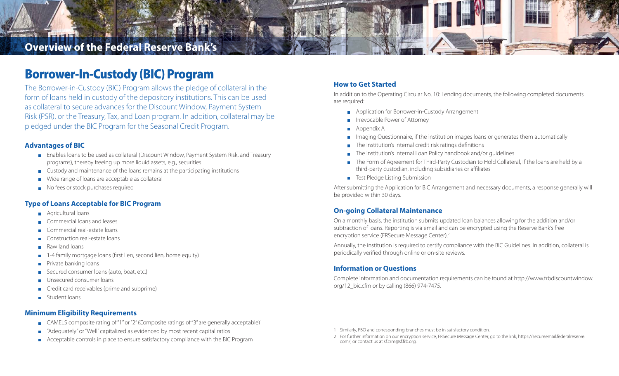## **Overview of the Federal Reserve Bank's**

## Borrower-In-Custody (BIC) Program

The Borrower-in-Custody (BIC) Program allows the pledge of collateral in the form of loans held in custody of the depository institutions. This can be used as collateral to secure advances for the Discount Window, Payment System Risk (PSR), or the Treasury, Tax, and Loan program. In addition, collateral may be pledged under the BIC Program for the Seasonal Credit Program.

#### **Advantages of BIC**

- Enables loans to be used as collateral (Discount Window, Payment System Risk, and Treasury programs), thereby freeing up more liquid assets, e.g., securities
- Custody and maintenance of the loans remains at the participating institutions
- Wide range of loans are acceptable as collateral
- No fees or stock purchases required

#### **Type of Loans Acceptable for BIC Program**

- **Agricultural loans**
- Commercial loans and leases
- Commercial real-estate loans
- Construction real-estate loans
- Raw land loans
- family mortgage loans (first lien, second lien, home equity)
- Private banking loans
- Secured consumer loans (auto, boat, etc.)
- Unsecured consumer loans
- Credit card receivables (prime and subprime)
- Student loans

#### **Minimum Eligibility Requirements**

- CAMELS composite rating of "1" or "2" (Composite ratings of "3" are generally acceptable)<sup>1</sup>
- "Adequately" or "Well" capitalized as evidenced by most recent capital ratios  $\overline{\mathbb{R}^n}$
- Acceptable controls in place to ensure satisfactory compliance with the BIC Program

#### **How to Get Started**

In addition to the Operating Circular No. 10: Lending documents, the following completed documents are required:

- **Application for Borrower-in-Custody Arrangement**
- **IF Irrevocable Power of Attorney**
- Appendix A
- Imaging Questionnaire, if the institution images loans or generates them automatically
- The institution's internal credit risk ratings definitions
- The institution's internal Loan Policy handbook and/or quidelines
- The Form of Agreement for Third-Party Custodian to Hold Collateral, if the loans are held by a third-party custodian, including subsidiaries or affiliates
- Test Pledge Listing Submission

After submitting the Application for BIC Arrangement and necessary documents, a response generally will be provided within 30 days.

#### **On-going Collateral Maintenance**

On a monthly basis, the institution submits updated loan balances allowing for the addition and/or subtraction of loans. Reporting is via email and can be encrypted using the Reserve Bank's free encryption service (FRSecure Message Center).2

Annually, the institution is required to certify compliance with the BIC Guidelines. In addition, collateral is periodically verified through online or on-site reviews.

#### **Information or Questions**

Complete information and documentation requirements can be found at http://www.frbdiscountwindow. org/12\_bic.cfm or by calling (866) 974-7475.

- 1 Similarly, FBO and corresponding branches must be in satisfactory condition.
- 2 For further information on our encryption service, FRSecure Message Center, go to the link, https://secureemail.federalreserve. com/, or contact us at sf.crm@sf.frb.org.